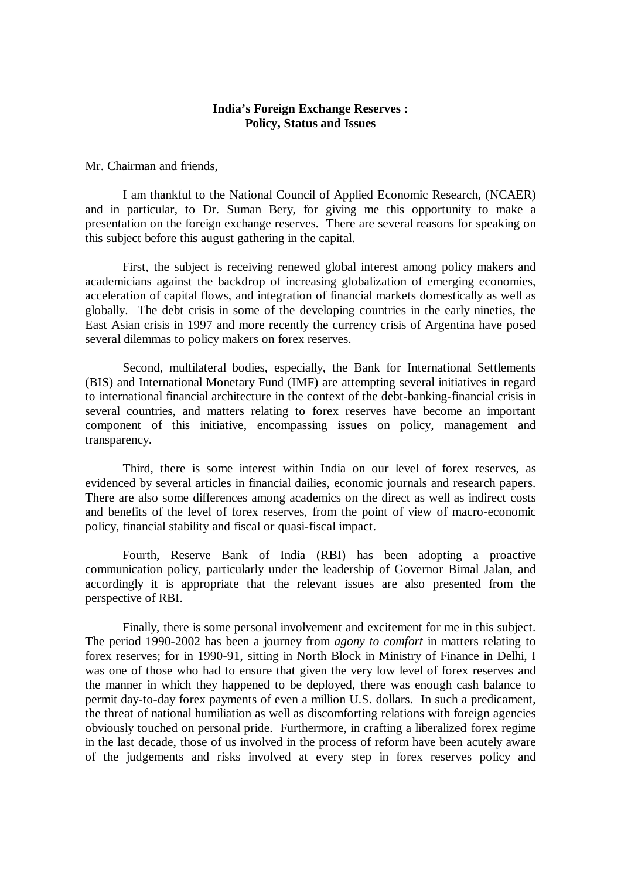# **India's Foreign Exchange Reserves : Policy, Status and Issues**

Mr. Chairman and friends,

I am thankful to the National Council of Applied Economic Research, (NCAER) and in particular, to Dr. Suman Bery, for giving me this opportunity to make a presentation on the foreign exchange reserves. There are several reasons for speaking on this subject before this august gathering in the capital.

First, the subject is receiving renewed global interest among policy makers and academicians against the backdrop of increasing globalization of emerging economies, acceleration of capital flows, and integration of financial markets domestically as well as globally. The debt crisis in some of the developing countries in the early nineties, the East Asian crisis in 1997 and more recently the currency crisis of Argentina have posed several dilemmas to policy makers on forex reserves.

Second, multilateral bodies, especially, the Bank for International Settlements (BIS) and International Monetary Fund (IMF) are attempting several initiatives in regard to international financial architecture in the context of the debt-banking-financial crisis in several countries, and matters relating to forex reserves have become an important component of this initiative, encompassing issues on policy, management and transparency.

Third, there is some interest within India on our level of forex reserves, as evidenced by several articles in financial dailies, economic journals and research papers. There are also some differences among academics on the direct as well as indirect costs and benefits of the level of forex reserves, from the point of view of macro-economic policy, financial stability and fiscal or quasi-fiscal impact.

Fourth, Reserve Bank of India (RBI) has been adopting a proactive communication policy, particularly under the leadership of Governor Bimal Jalan, and accordingly it is appropriate that the relevant issues are also presented from the perspective of RBI.

Finally, there is some personal involvement and excitement for me in this subject. The period 1990-2002 has been a journey from *agony to comfort* in matters relating to forex reserves; for in 1990-91, sitting in North Block in Ministry of Finance in Delhi, I was one of those who had to ensure that given the very low level of forex reserves and the manner in which they happened to be deployed, there was enough cash balance to permit day-to-day forex payments of even a million U.S. dollars. In such a predicament, the threat of national humiliation as well as discomforting relations with foreign agencies obviously touched on personal pride. Furthermore, in crafting a liberalized forex regime in the last decade, those of us involved in the process of reform have been acutely aware of the judgements and risks involved at every step in forex reserves policy and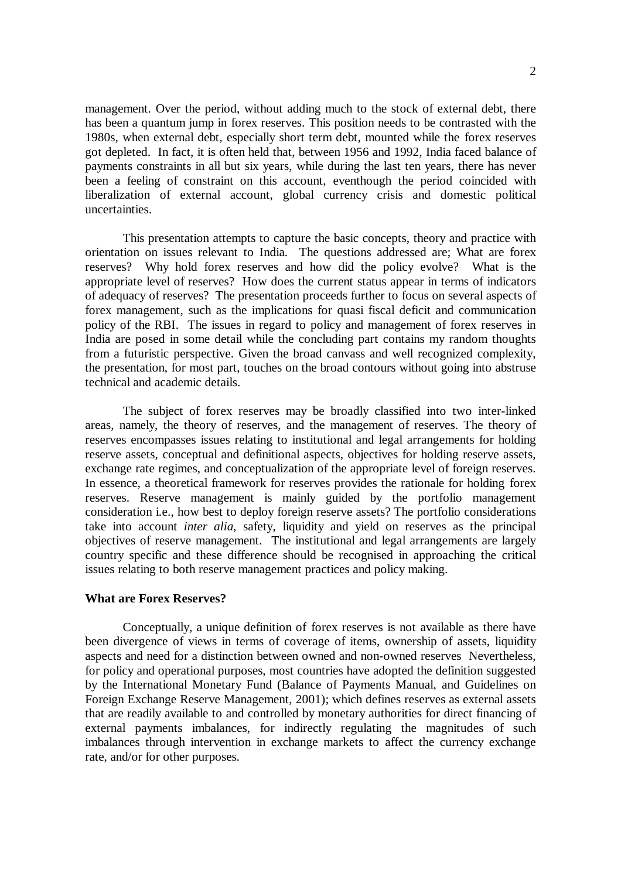management. Over the period, without adding much to the stock of external debt, there has been a quantum jump in forex reserves. This position needs to be contrasted with the 1980s, when external debt, especially short term debt, mounted while the forex reserves got depleted. In fact, it is often held that, between 1956 and 1992, India faced balance of payments constraints in all but six years, while during the last ten years, there has never been a feeling of constraint on this account, eventhough the period coincided with liberalization of external account, global currency crisis and domestic political uncertainties.

This presentation attempts to capture the basic concepts, theory and practice with orientation on issues relevant to India. The questions addressed are; What are forex reserves? Why hold forex reserves and how did the policy evolve? What is the appropriate level of reserves? How does the current status appear in terms of indicators of adequacy of reserves? The presentation proceeds further to focus on several aspects of forex management, such as the implications for quasi fiscal deficit and communication policy of the RBI. The issues in regard to policy and management of forex reserves in India are posed in some detail while the concluding part contains my random thoughts from a futuristic perspective. Given the broad canvass and well recognized complexity, the presentation, for most part, touches on the broad contours without going into abstruse technical and academic details.

The subject of forex reserves may be broadly classified into two inter-linked areas, namely, the theory of reserves, and the management of reserves. The theory of reserves encompasses issues relating to institutional and legal arrangements for holding reserve assets, conceptual and definitional aspects, objectives for holding reserve assets, exchange rate regimes, and conceptualization of the appropriate level of foreign reserves. In essence, a theoretical framework for reserves provides the rationale for holding forex reserves. Reserve management is mainly guided by the portfolio management consideration i.e., how best to deploy foreign reserve assets? The portfolio considerations take into account *inter alia*, safety, liquidity and yield on reserves as the principal objectives of reserve management. The institutional and legal arrangements are largely country specific and these difference should be recognised in approaching the critical issues relating to both reserve management practices and policy making.

## **What are Forex Reserves?**

Conceptually, a unique definition of forex reserves is not available as there have been divergence of views in terms of coverage of items, ownership of assets, liquidity aspects and need for a distinction between owned and non-owned reserves Nevertheless, for policy and operational purposes, most countries have adopted the definition suggested by the International Monetary Fund (Balance of Payments Manual, and Guidelines on Foreign Exchange Reserve Management, 2001); which defines reserves as external assets that are readily available to and controlled by monetary authorities for direct financing of external payments imbalances, for indirectly regulating the magnitudes of such imbalances through intervention in exchange markets to affect the currency exchange rate, and/or for other purposes.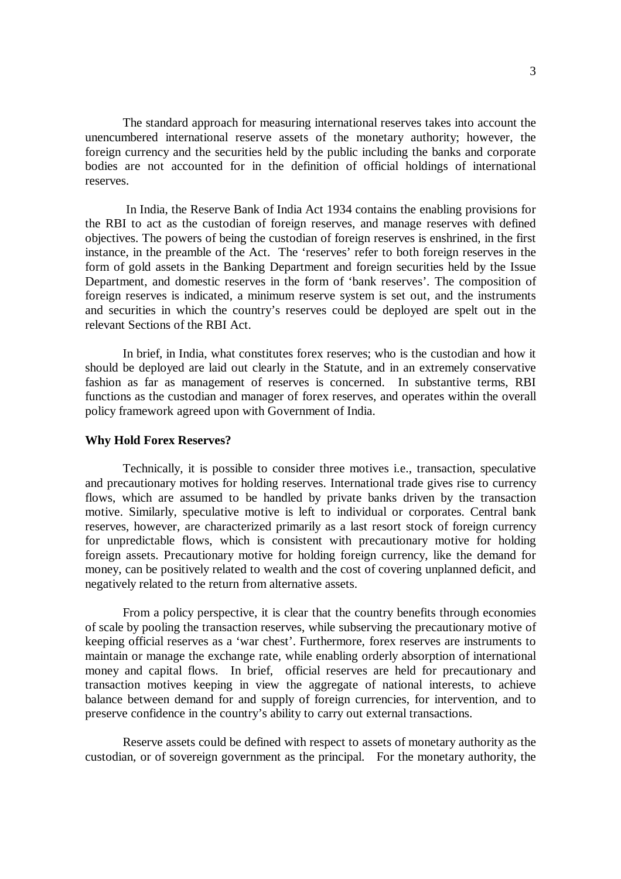The standard approach for measuring international reserves takes into account the unencumbered international reserve assets of the monetary authority; however, the foreign currency and the securities held by the public including the banks and corporate bodies are not accounted for in the definition of official holdings of international reserves.

 In India, the Reserve Bank of India Act 1934 contains the enabling provisions for the RBI to act as the custodian of foreign reserves, and manage reserves with defined objectives. The powers of being the custodian of foreign reserves is enshrined, in the first instance, in the preamble of the Act. The 'reserves' refer to both foreign reserves in the form of gold assets in the Banking Department and foreign securities held by the Issue Department, and domestic reserves in the form of 'bank reserves'. The composition of foreign reserves is indicated, a minimum reserve system is set out, and the instruments and securities in which the country's reserves could be deployed are spelt out in the relevant Sections of the RBI Act.

In brief, in India, what constitutes forex reserves; who is the custodian and how it should be deployed are laid out clearly in the Statute, and in an extremely conservative fashion as far as management of reserves is concerned. In substantive terms, RBI functions as the custodian and manager of forex reserves, and operates within the overall policy framework agreed upon with Government of India.

## **Why Hold Forex Reserves?**

Technically, it is possible to consider three motives i.e., transaction, speculative and precautionary motives for holding reserves. International trade gives rise to currency flows, which are assumed to be handled by private banks driven by the transaction motive. Similarly, speculative motive is left to individual or corporates. Central bank reserves, however, are characterized primarily as a last resort stock of foreign currency for unpredictable flows, which is consistent with precautionary motive for holding foreign assets. Precautionary motive for holding foreign currency, like the demand for money, can be positively related to wealth and the cost of covering unplanned deficit, and negatively related to the return from alternative assets.

From a policy perspective, it is clear that the country benefits through economies of scale by pooling the transaction reserves, while subserving the precautionary motive of keeping official reserves as a 'war chest'. Furthermore, forex reserves are instruments to maintain or manage the exchange rate, while enabling orderly absorption of international money and capital flows. In brief, official reserves are held for precautionary and transaction motives keeping in view the aggregate of national interests, to achieve balance between demand for and supply of foreign currencies, for intervention, and to preserve confidence in the country's ability to carry out external transactions.

Reserve assets could be defined with respect to assets of monetary authority as the custodian, or of sovereign government as the principal. For the monetary authority, the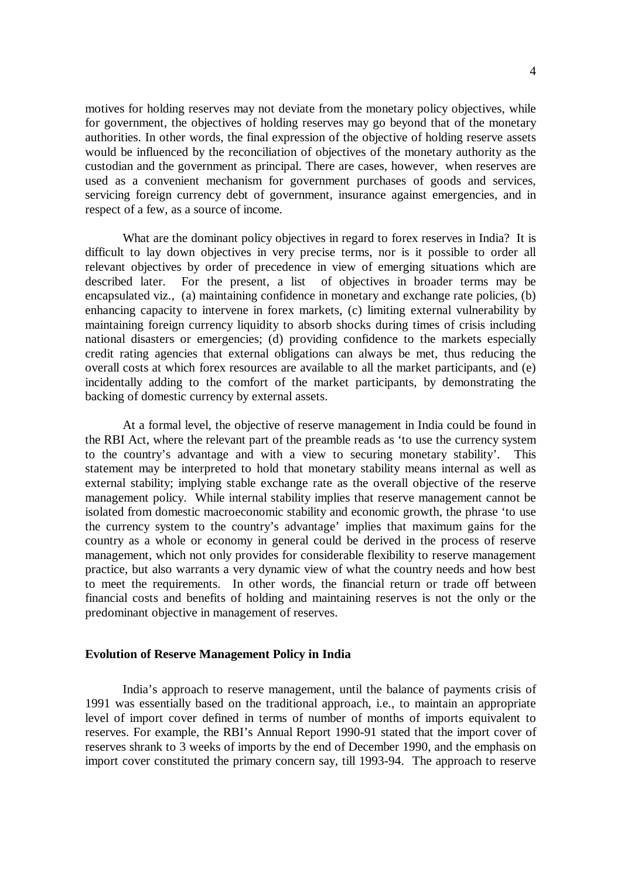4

motives for holding reserves may not deviate from the monetary policy objectives, while for government, the objectives of holding reserves may go beyond that of the monetary authorities. In other words, the final expression of the objective of holding reserve assets would be influenced by the reconciliation of objectives of the monetary authority as the custodian and the government as principal. There are cases, however, when reserves are used as a convenient mechanism for government purchases of goods and services, servicing foreign currency debt of government, insurance against emergencies, and in respect of a few, as a source of income.

What are the dominant policy objectives in regard to forex reserves in India? It is difficult to lay down objectives in very precise terms, nor is it possible to order all relevant objectives by order of precedence in view of emerging situations which are described later. For the present, a list of objectives in broader terms may be encapsulated viz., (a) maintaining confidence in monetary and exchange rate policies, (b) enhancing capacity to intervene in forex markets, (c) limiting external vulnerability by maintaining foreign currency liquidity to absorb shocks during times of crisis including national disasters or emergencies; (d) providing confidence to the markets especially credit rating agencies that external obligations can always be met, thus reducing the overall costs at which forex resources are available to all the market participants, and (e) incidentally adding to the comfort of the market participants, by demonstrating the backing of domestic currency by external assets.

At a formal level, the objective of reserve management in India could be found in the RBI Act, where the relevant part of the preamble reads as 'to use the currency system to the country's advantage and with a view to securing monetary stability'. This statement may be interpreted to hold that monetary stability means internal as well as external stability; implying stable exchange rate as the overall objective of the reserve management policy. While internal stability implies that reserve management cannot be isolated from domestic macroeconomic stability and economic growth, the phrase 'to use the currency system to the country's advantage' implies that maximum gains for the country as a whole or economy in general could be derived in the process of reserve management, which not only provides for considerable flexibility to reserve management practice, but also warrants a very dynamic view of what the country needs and how best to meet the requirements. In other words, the financial return or trade off between financial costs and benefits of holding and maintaining reserves is not the only or the predominant objective in management of reserves.

### **Evolution of Reserve Management Policy in India**

India's approach to reserve management, until the balance of payments crisis of 1991 was essentially based on the traditional approach, i.e., to maintain an appropriate level of import cover defined in terms of number of months of imports equivalent to reserves. For example, the RBI's Annual Report 1990-91 stated that the import cover of reserves shrank to 3 weeks of imports by the end of December 1990, and the emphasis on import cover constituted the primary concern say, till 1993-94. The approach to reserve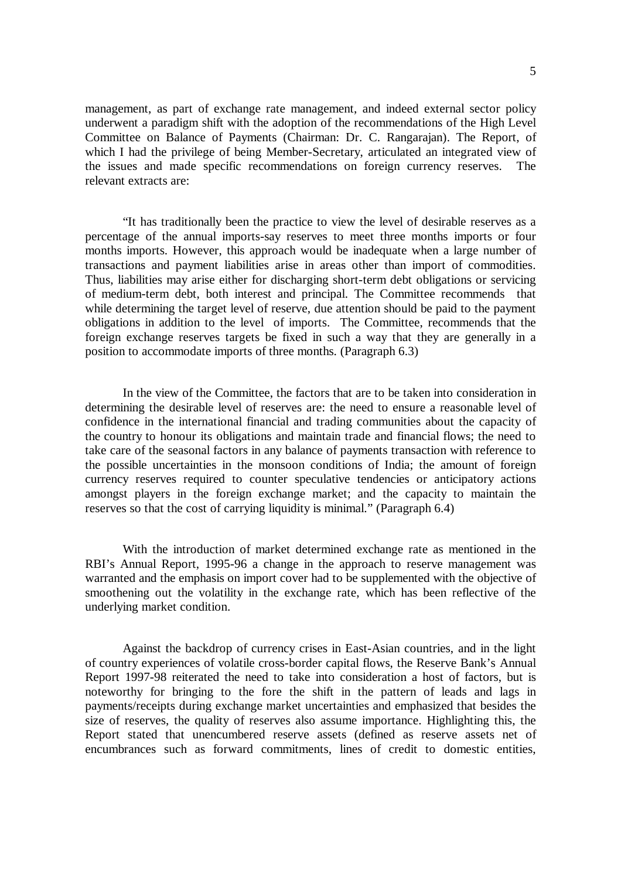management, as part of exchange rate management, and indeed external sector policy underwent a paradigm shift with the adoption of the recommendations of the High Level Committee on Balance of Payments (Chairman: Dr. C. Rangarajan). The Report, of which I had the privilege of being Member-Secretary, articulated an integrated view of the issues and made specific recommendations on foreign currency reserves. The relevant extracts are:

"It has traditionally been the practice to view the level of desirable reserves as a percentage of the annual imports-say reserves to meet three months imports or four months imports. However, this approach would be inadequate when a large number of transactions and payment liabilities arise in areas other than import of commodities. Thus, liabilities may arise either for discharging short-term debt obligations or servicing of medium-term debt, both interest and principal. The Committee recommends that while determining the target level of reserve, due attention should be paid to the payment obligations in addition to the level of imports. The Committee, recommends that the foreign exchange reserves targets be fixed in such a way that they are generally in a position to accommodate imports of three months. (Paragraph 6.3)

In the view of the Committee, the factors that are to be taken into consideration in determining the desirable level of reserves are: the need to ensure a reasonable level of confidence in the international financial and trading communities about the capacity of the country to honour its obligations and maintain trade and financial flows; the need to take care of the seasonal factors in any balance of payments transaction with reference to the possible uncertainties in the monsoon conditions of India; the amount of foreign currency reserves required to counter speculative tendencies or anticipatory actions amongst players in the foreign exchange market; and the capacity to maintain the reserves so that the cost of carrying liquidity is minimal." (Paragraph 6.4)

With the introduction of market determined exchange rate as mentioned in the RBI's Annual Report, 1995-96 a change in the approach to reserve management was warranted and the emphasis on import cover had to be supplemented with the objective of smoothening out the volatility in the exchange rate, which has been reflective of the underlying market condition.

Against the backdrop of currency crises in East-Asian countries, and in the light of country experiences of volatile cross-border capital flows, the Reserve Bank's Annual Report 1997-98 reiterated the need to take into consideration a host of factors, but is noteworthy for bringing to the fore the shift in the pattern of leads and lags in payments/receipts during exchange market uncertainties and emphasized that besides the size of reserves, the quality of reserves also assume importance. Highlighting this, the Report stated that unencumbered reserve assets (defined as reserve assets net of encumbrances such as forward commitments, lines of credit to domestic entities,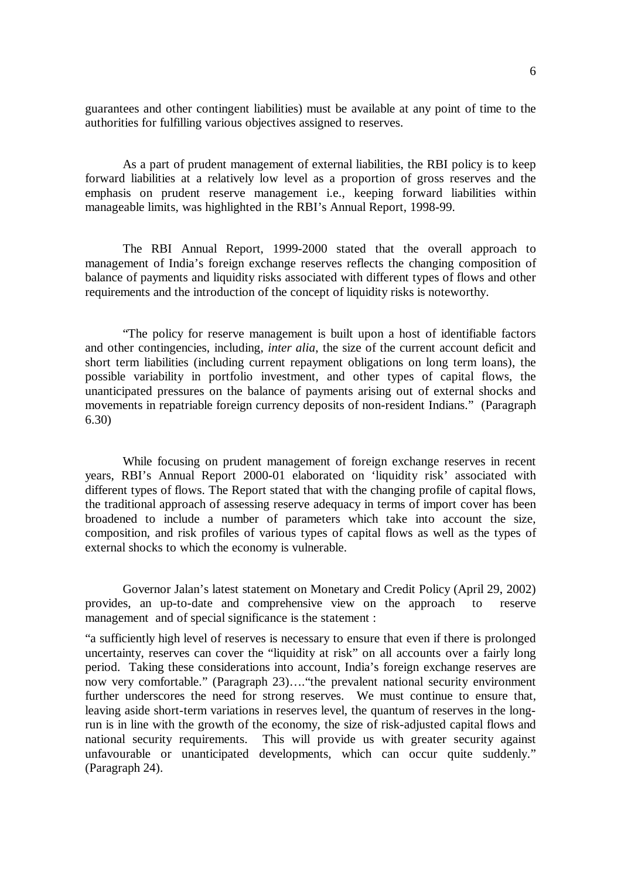guarantees and other contingent liabilities) must be available at any point of time to the authorities for fulfilling various objectives assigned to reserves.

As a part of prudent management of external liabilities, the RBI policy is to keep forward liabilities at a relatively low level as a proportion of gross reserves and the emphasis on prudent reserve management i.e., keeping forward liabilities within manageable limits, was highlighted in the RBI's Annual Report, 1998-99.

The RBI Annual Report, 1999-2000 stated that the overall approach to management of India's foreign exchange reserves reflects the changing composition of balance of payments and liquidity risks associated with different types of flows and other requirements and the introduction of the concept of liquidity risks is noteworthy.

"The policy for reserve management is built upon a host of identifiable factors and other contingencies, including, *inter alia*, the size of the current account deficit and short term liabilities (including current repayment obligations on long term loans), the possible variability in portfolio investment, and other types of capital flows, the unanticipated pressures on the balance of payments arising out of external shocks and movements in repatriable foreign currency deposits of non-resident Indians." (Paragraph 6.30)

While focusing on prudent management of foreign exchange reserves in recent years, RBI's Annual Report 2000-01 elaborated on 'liquidity risk' associated with different types of flows. The Report stated that with the changing profile of capital flows, the traditional approach of assessing reserve adequacy in terms of import cover has been broadened to include a number of parameters which take into account the size, composition, and risk profiles of various types of capital flows as well as the types of external shocks to which the economy is vulnerable.

Governor Jalan's latest statement on Monetary and Credit Policy (April 29, 2002) provides, an up-to-date and comprehensive view on the approach to reserve management and of special significance is the statement :

"a sufficiently high level of reserves is necessary to ensure that even if there is prolonged uncertainty, reserves can cover the "liquidity at risk" on all accounts over a fairly long period. Taking these considerations into account, India's foreign exchange reserves are now very comfortable." (Paragraph 23)… ."the prevalent national security environment further underscores the need for strong reserves. We must continue to ensure that, leaving aside short-term variations in reserves level, the quantum of reserves in the longrun is in line with the growth of the economy, the size of risk-adjusted capital flows and national security requirements. This will provide us with greater security against unfavourable or unanticipated developments, which can occur quite suddenly." (Paragraph 24).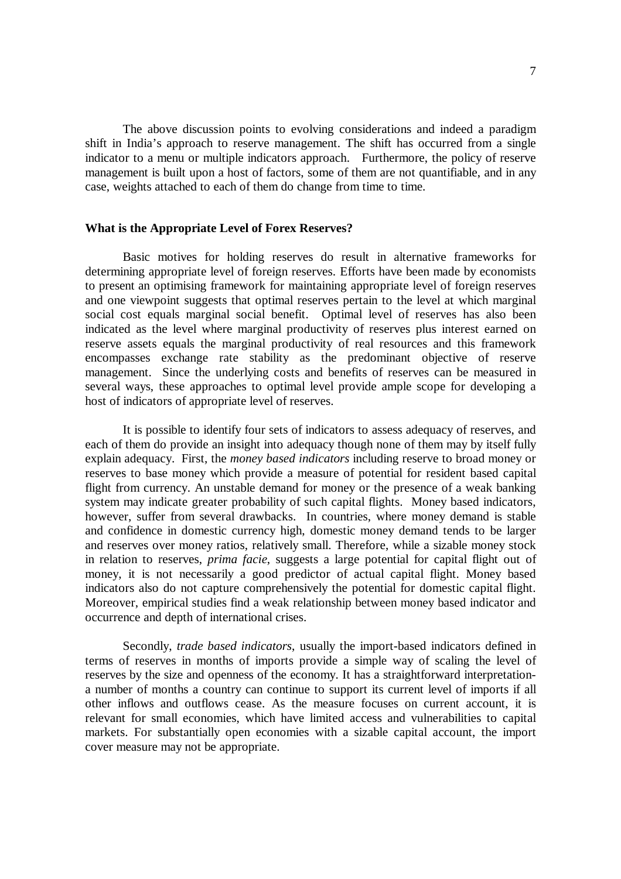The above discussion points to evolving considerations and indeed a paradigm shift in India's approach to reserve management. The shift has occurred from a single indicator to a menu or multiple indicators approach. Furthermore, the policy of reserve management is built upon a host of factors, some of them are not quantifiable, and in any case, weights attached to each of them do change from time to time.

### **What is the Appropriate Level of Forex Reserves?**

Basic motives for holding reserves do result in alternative frameworks for determining appropriate level of foreign reserves. Efforts have been made by economists to present an optimising framework for maintaining appropriate level of foreign reserves and one viewpoint suggests that optimal reserves pertain to the level at which marginal social cost equals marginal social benefit. Optimal level of reserves has also been indicated as the level where marginal productivity of reserves plus interest earned on reserve assets equals the marginal productivity of real resources and this framework encompasses exchange rate stability as the predominant objective of reserve management. Since the underlying costs and benefits of reserves can be measured in several ways, these approaches to optimal level provide ample scope for developing a host of indicators of appropriate level of reserves.

It is possible to identify four sets of indicators to assess adequacy of reserves, and each of them do provide an insight into adequacy though none of them may by itself fully explain adequacy. First, the *money based indicators* including reserve to broad money or reserves to base money which provide a measure of potential for resident based capital flight from currency. An unstable demand for money or the presence of a weak banking system may indicate greater probability of such capital flights. Money based indicators, however, suffer from several drawbacks. In countries, where money demand is stable and confidence in domestic currency high, domestic money demand tends to be larger and reserves over money ratios, relatively small. Therefore, while a sizable money stock in relation to reserves, *prima facie*, suggests a large potential for capital flight out of money, it is not necessarily a good predictor of actual capital flight. Money based indicators also do not capture comprehensively the potential for domestic capital flight. Moreover, empirical studies find a weak relationship between money based indicator and occurrence and depth of international crises.

Secondly, *trade based indicators*, usually the import-based indicators defined in terms of reserves in months of imports provide a simple way of scaling the level of reserves by the size and openness of the economy. It has a straightforward interpretationa number of months a country can continue to support its current level of imports if all other inflows and outflows cease. As the measure focuses on current account, it is relevant for small economies, which have limited access and vulnerabilities to capital markets. For substantially open economies with a sizable capital account, the import cover measure may not be appropriate.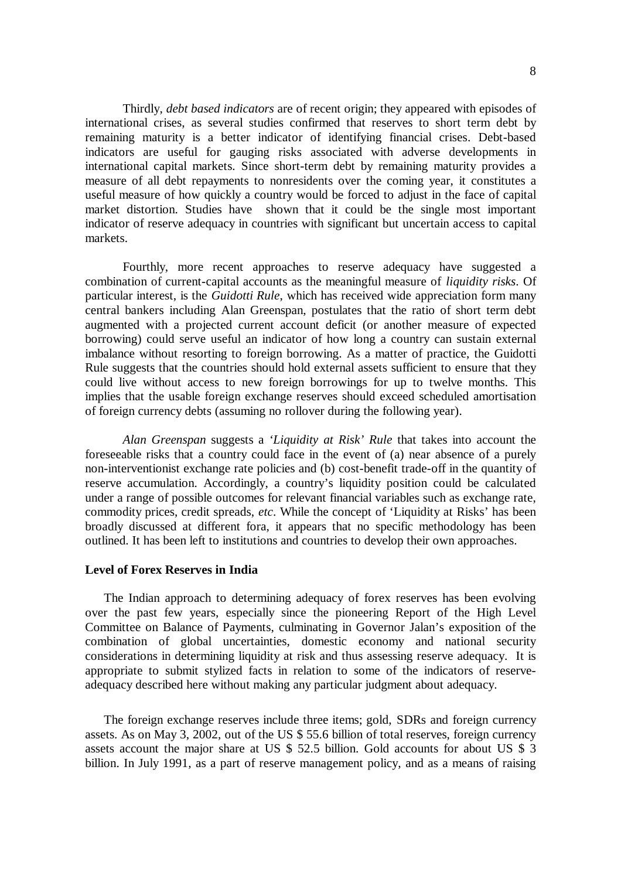Thirdly, *debt based indicators* are of recent origin; they appeared with episodes of international crises, as several studies confirmed that reserves to short term debt by remaining maturity is a better indicator of identifying financial crises. Debt-based indicators are useful for gauging risks associated with adverse developments in international capital markets. Since short-term debt by remaining maturity provides a measure of all debt repayments to nonresidents over the coming year, it constitutes a useful measure of how quickly a country would be forced to adjust in the face of capital market distortion. Studies have shown that it could be the single most important indicator of reserve adequacy in countries with significant but uncertain access to capital markets.

Fourthly, more recent approaches to reserve adequacy have suggested a combination of current-capital accounts as the meaningful measure of *liquidity risks*. Of particular interest, is the *Guidotti Rule*, which has received wide appreciation form many central bankers including Alan Greenspan, postulates that the ratio of short term debt augmented with a projected current account deficit (or another measure of expected borrowing) could serve useful an indicator of how long a country can sustain external imbalance without resorting to foreign borrowing. As a matter of practice, the Guidotti Rule suggests that the countries should hold external assets sufficient to ensure that they could live without access to new foreign borrowings for up to twelve months. This implies that the usable foreign exchange reserves should exceed scheduled amortisation of foreign currency debts (assuming no rollover during the following year).

*Alan Greenspan* suggests a *'Liquidity at Risk' Rule* that takes into account the foreseeable risks that a country could face in the event of (a) near absence of a purely non-interventionist exchange rate policies and (b) cost-benefit trade-off in the quantity of reserve accumulation. Accordingly, a country's liquidity position could be calculated under a range of possible outcomes for relevant financial variables such as exchange rate, commodity prices, credit spreads, *etc*. While the concept of 'Liquidity at Risks' has been broadly discussed at different fora, it appears that no specific methodology has been outlined. It has been left to institutions and countries to develop their own approaches.

# **Level of Forex Reserves in India**

The Indian approach to determining adequacy of forex reserves has been evolving over the past few years, especially since the pioneering Report of the High Level Committee on Balance of Payments, culminating in Governor Jalan's exposition of the combination of global uncertainties, domestic economy and national security considerations in determining liquidity at risk and thus assessing reserve adequacy. It is appropriate to submit stylized facts in relation to some of the indicators of reserveadequacy described here without making any particular judgment about adequacy.

The foreign exchange reserves include three items; gold, SDRs and foreign currency assets. As on May 3, 2002, out of the US \$ 55.6 billion of total reserves, foreign currency assets account the major share at US \$ 52.5 billion. Gold accounts for about US \$ 3 billion. In July 1991, as a part of reserve management policy, and as a means of raising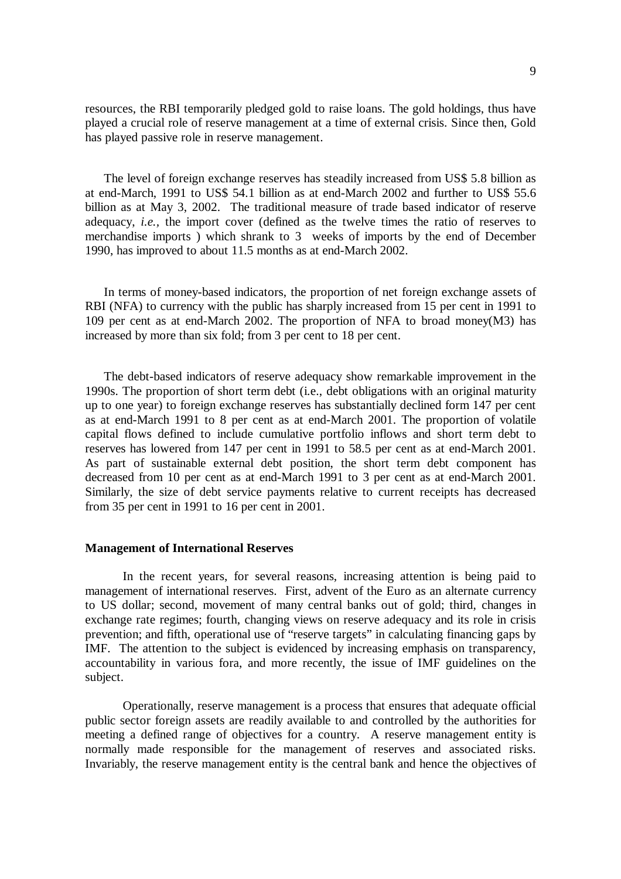resources, the RBI temporarily pledged gold to raise loans. The gold holdings, thus have played a crucial role of reserve management at a time of external crisis. Since then, Gold has played passive role in reserve management.

The level of foreign exchange reserves has steadily increased from US\$ 5.8 billion as at end-March, 1991 to US\$ 54.1 billion as at end-March 2002 and further to US\$ 55.6 billion as at May 3, 2002. The traditional measure of trade based indicator of reserve adequacy, *i.e.,* the import cover (defined as the twelve times the ratio of reserves to merchandise imports ) which shrank to 3 weeks of imports by the end of December 1990, has improved to about 11.5 months as at end-March 2002.

In terms of money-based indicators, the proportion of net foreign exchange assets of RBI (NFA) to currency with the public has sharply increased from 15 per cent in 1991 to 109 per cent as at end-March 2002. The proportion of NFA to broad money(M3) has increased by more than six fold; from 3 per cent to 18 per cent.

The debt-based indicators of reserve adequacy show remarkable improvement in the 1990s. The proportion of short term debt (i.e., debt obligations with an original maturity up to one year) to foreign exchange reserves has substantially declined form 147 per cent as at end-March 1991 to 8 per cent as at end-March 2001. The proportion of volatile capital flows defined to include cumulative portfolio inflows and short term debt to reserves has lowered from 147 per cent in 1991 to 58.5 per cent as at end-March 2001. As part of sustainable external debt position, the short term debt component has decreased from 10 per cent as at end-March 1991 to 3 per cent as at end-March 2001. Similarly, the size of debt service payments relative to current receipts has decreased from 35 per cent in 1991 to 16 per cent in 2001.

### **Management of International Reserves**

In the recent years, for several reasons, increasing attention is being paid to management of international reserves. First, advent of the Euro as an alternate currency to US dollar; second, movement of many central banks out of gold; third, changes in exchange rate regimes; fourth, changing views on reserve adequacy and its role in crisis prevention; and fifth, operational use of "reserve targets" in calculating financing gaps by IMF. The attention to the subject is evidenced by increasing emphasis on transparency, accountability in various fora, and more recently, the issue of IMF guidelines on the subject.

Operationally, reserve management is a process that ensures that adequate official public sector foreign assets are readily available to and controlled by the authorities for meeting a defined range of objectives for a country. A reserve management entity is normally made responsible for the management of reserves and associated risks. Invariably, the reserve management entity is the central bank and hence the objectives of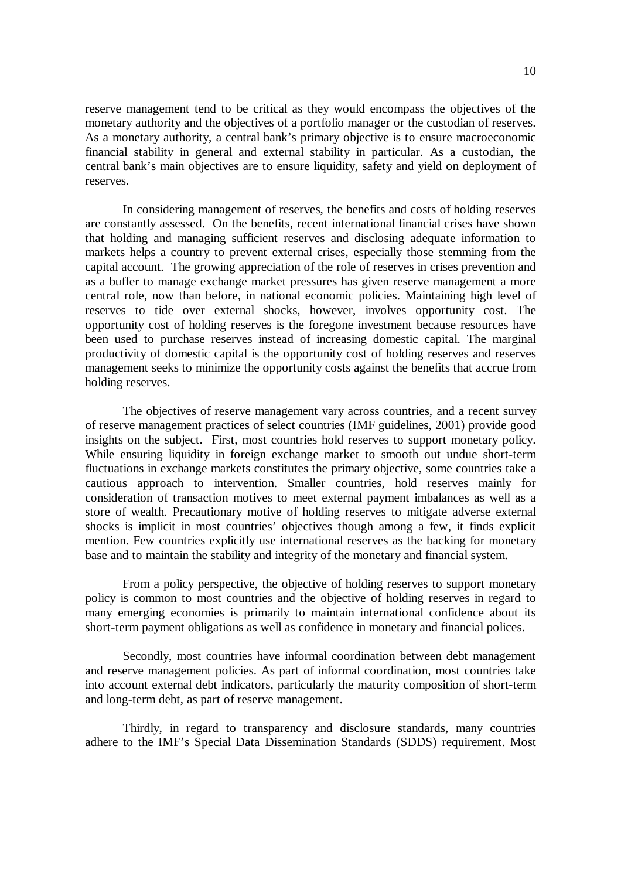reserve management tend to be critical as they would encompass the objectives of the monetary authority and the objectives of a portfolio manager or the custodian of reserves. As a monetary authority, a central bank's primary objective is to ensure macroeconomic financial stability in general and external stability in particular. As a custodian, the central bank's main objectives are to ensure liquidity, safety and yield on deployment of reserves.

In considering management of reserves, the benefits and costs of holding reserves are constantly assessed. On the benefits, recent international financial crises have shown that holding and managing sufficient reserves and disclosing adequate information to markets helps a country to prevent external crises, especially those stemming from the capital account. The growing appreciation of the role of reserves in crises prevention and as a buffer to manage exchange market pressures has given reserve management a more central role, now than before, in national economic policies. Maintaining high level of reserves to tide over external shocks, however, involves opportunity cost. The opportunity cost of holding reserves is the foregone investment because resources have been used to purchase reserves instead of increasing domestic capital. The marginal productivity of domestic capital is the opportunity cost of holding reserves and reserves management seeks to minimize the opportunity costs against the benefits that accrue from holding reserves.

The objectives of reserve management vary across countries, and a recent survey of reserve management practices of select countries (IMF guidelines, 2001) provide good insights on the subject. First, most countries hold reserves to support monetary policy. While ensuring liquidity in foreign exchange market to smooth out undue short-term fluctuations in exchange markets constitutes the primary objective, some countries take a cautious approach to intervention. Smaller countries, hold reserves mainly for consideration of transaction motives to meet external payment imbalances as well as a store of wealth. Precautionary motive of holding reserves to mitigate adverse external shocks is implicit in most countries' objectives though among a few, it finds explicit mention. Few countries explicitly use international reserves as the backing for monetary base and to maintain the stability and integrity of the monetary and financial system.

From a policy perspective, the objective of holding reserves to support monetary policy is common to most countries and the objective of holding reserves in regard to many emerging economies is primarily to maintain international confidence about its short-term payment obligations as well as confidence in monetary and financial polices.

Secondly, most countries have informal coordination between debt management and reserve management policies. As part of informal coordination, most countries take into account external debt indicators, particularly the maturity composition of short-term and long-term debt, as part of reserve management.

Thirdly, in regard to transparency and disclosure standards, many countries adhere to the IMF's Special Data Dissemination Standards (SDDS) requirement. Most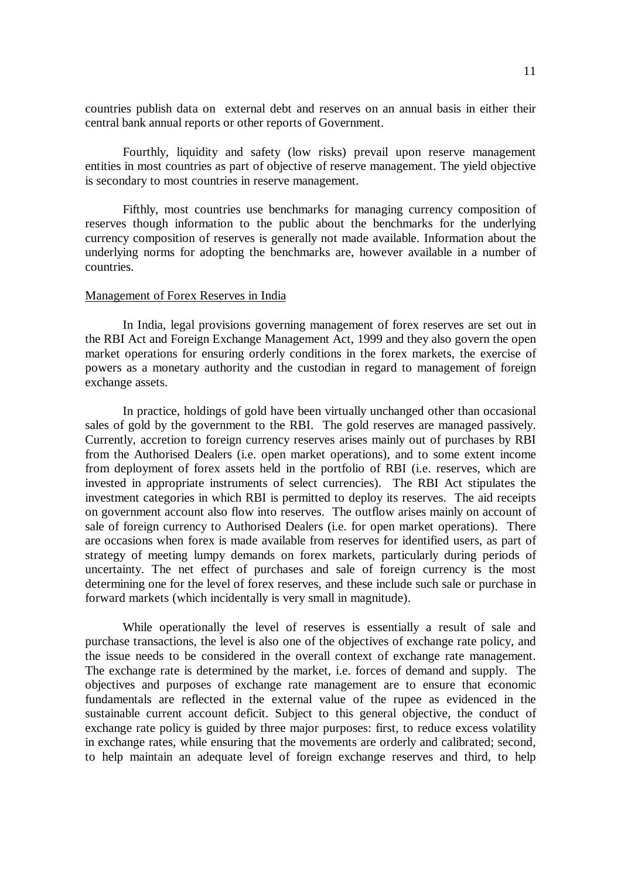countries publish data on external debt and reserves on an annual basis in either their central bank annual reports or other reports of Government.

Fourthly, liquidity and safety (low risks) prevail upon reserve management entities in most countries as part of objective of reserve management. The yield objective is secondary to most countries in reserve management.

Fifthly, most countries use benchmarks for managing currency composition of reserves though information to the public about the benchmarks for the underlying currency composition of reserves is generally not made available. Information about the underlying norms for adopting the benchmarks are, however available in a number of countries.

#### Management of Forex Reserves in India

In India, legal provisions governing management of forex reserves are set out in the RBI Act and Foreign Exchange Management Act, 1999 and they also govern the open market operations for ensuring orderly conditions in the forex markets, the exercise of powers as a monetary authority and the custodian in regard to management of foreign exchange assets.

In practice, holdings of gold have been virtually unchanged other than occasional sales of gold by the government to the RBI. The gold reserves are managed passively. Currently, accretion to foreign currency reserves arises mainly out of purchases by RBI from the Authorised Dealers (i.e. open market operations), and to some extent income from deployment of forex assets held in the portfolio of RBI (i.e. reserves, which are invested in appropriate instruments of select currencies). The RBI Act stipulates the investment categories in which RBI is permitted to deploy its reserves. The aid receipts on government account also flow into reserves. The outflow arises mainly on account of sale of foreign currency to Authorised Dealers (i.e. for open market operations). There are occasions when forex is made available from reserves for identified users, as part of strategy of meeting lumpy demands on forex markets, particularly during periods of uncertainty. The net effect of purchases and sale of foreign currency is the most determining one for the level of forex reserves, and these include such sale or purchase in forward markets (which incidentally is very small in magnitude).

While operationally the level of reserves is essentially a result of sale and purchase transactions, the level is also one of the objectives of exchange rate policy, and the issue needs to be considered in the overall context of exchange rate management. The exchange rate is determined by the market, i.e. forces of demand and supply. The objectives and purposes of exchange rate management are to ensure that economic fundamentals are reflected in the external value of the rupee as evidenced in the sustainable current account deficit. Subject to this general objective, the conduct of exchange rate policy is guided by three major purposes: first, to reduce excess volatility in exchange rates, while ensuring that the movements are orderly and calibrated; second, to help maintain an adequate level of foreign exchange reserves and third, to help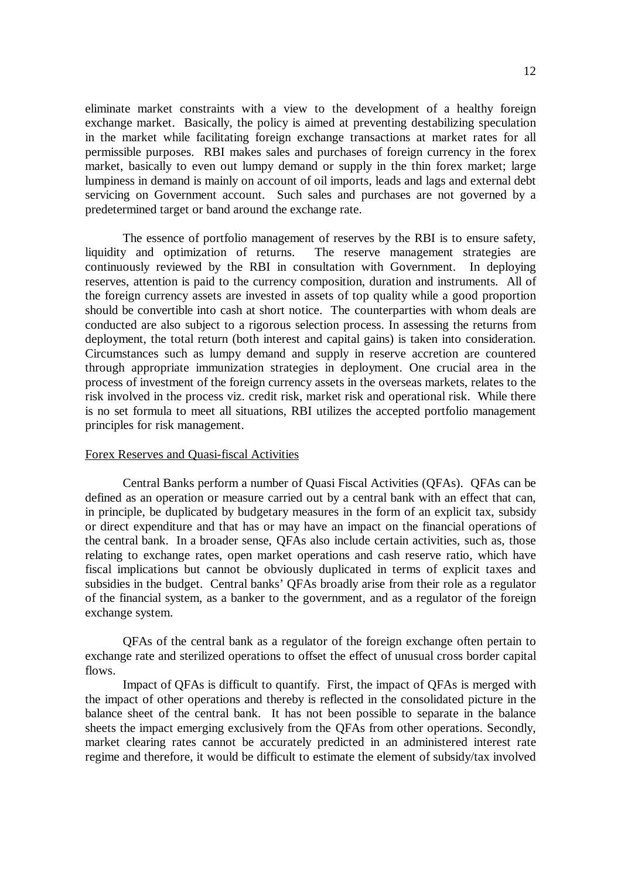eliminate market constraints with a view to the development of a healthy foreign exchange market. Basically, the policy is aimed at preventing destabilizing speculation in the market while facilitating foreign exchange transactions at market rates for all permissible purposes. RBI makes sales and purchases of foreign currency in the forex market, basically to even out lumpy demand or supply in the thin forex market; large lumpiness in demand is mainly on account of oil imports, leads and lags and external debt servicing on Government account. Such sales and purchases are not governed by a predetermined target or band around the exchange rate.

The essence of portfolio management of reserves by the RBI is to ensure safety, liquidity and optimization of returns. The reserve management strategies are continuously reviewed by the RBI in consultation with Government. In deploying reserves, attention is paid to the currency composition, duration and instruments. All of the foreign currency assets are invested in assets of top quality while a good proportion should be convertible into cash at short notice. The counterparties with whom deals are conducted are also subject to a rigorous selection process. In assessing the returns from deployment, the total return (both interest and capital gains) is taken into consideration. Circumstances such as lumpy demand and supply in reserve accretion are countered through appropriate immunization strategies in deployment. One crucial area in the process of investment of the foreign currency assets in the overseas markets, relates to the risk involved in the process viz. credit risk, market risk and operational risk. While there is no set formula to meet all situations, RBI utilizes the accepted portfolio management principles for risk management.

# Forex Reserves and Quasi-fiscal Activities

Central Banks perform a number of Quasi Fiscal Activities (QFAs). QFAs can be defined as an operation or measure carried out by a central bank with an effect that can, in principle, be duplicated by budgetary measures in the form of an explicit tax, subsidy or direct expenditure and that has or may have an impact on the financial operations of the central bank. In a broader sense, QFAs also include certain activities, such as, those relating to exchange rates, open market operations and cash reserve ratio, which have fiscal implications but cannot be obviously duplicated in terms of explicit taxes and subsidies in the budget. Central banks' QFAs broadly arise from their role as a regulator of the financial system, as a banker to the government, and as a regulator of the foreign exchange system.

QFAs of the central bank as a regulator of the foreign exchange often pertain to exchange rate and sterilized operations to offset the effect of unusual cross border capital flows.

Impact of QFAs is difficult to quantify. First, the impact of QFAs is merged with the impact of other operations and thereby is reflected in the consolidated picture in the balance sheet of the central bank. It has not been possible to separate in the balance sheets the impact emerging exclusively from the QFAs from other operations. Secondly, market clearing rates cannot be accurately predicted in an administered interest rate regime and therefore, it would be difficult to estimate the element of subsidy/tax involved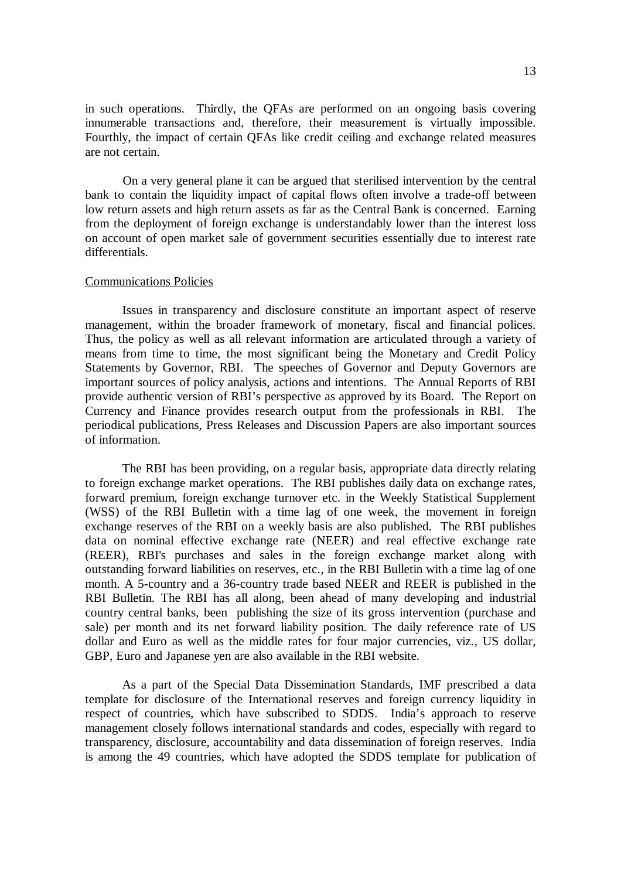in such operations. Thirdly, the QFAs are performed on an ongoing basis covering innumerable transactions and, therefore, their measurement is virtually impossible. Fourthly, the impact of certain QFAs like credit ceiling and exchange related measures are not certain.

On a very general plane it can be argued that sterilised intervention by the central bank to contain the liquidity impact of capital flows often involve a trade-off between low return assets and high return assets as far as the Central Bank is concerned. Earning from the deployment of foreign exchange is understandably lower than the interest loss on account of open market sale of government securities essentially due to interest rate differentials.

### Communications Policies

Issues in transparency and disclosure constitute an important aspect of reserve management, within the broader framework of monetary, fiscal and financial polices. Thus, the policy as well as all relevant information are articulated through a variety of means from time to time, the most significant being the Monetary and Credit Policy Statements by Governor, RBI. The speeches of Governor and Deputy Governors are important sources of policy analysis, actions and intentions. The Annual Reports of RBI provide authentic version of RBI's perspective as approved by its Board. The Report on Currency and Finance provides research output from the professionals in RBI. The periodical publications, Press Releases and Discussion Papers are also important sources of information.

The RBI has been providing, on a regular basis, appropriate data directly relating to foreign exchange market operations. The RBI publishes daily data on exchange rates, forward premium, foreign exchange turnover etc. in the Weekly Statistical Supplement (WSS) of the RBI Bulletin with a time lag of one week, the movement in foreign exchange reserves of the RBI on a weekly basis are also published. The RBI publishes data on nominal effective exchange rate (NEER) and real effective exchange rate (REER), RBI's purchases and sales in the foreign exchange market along with outstanding forward liabilities on reserves, etc., in the RBI Bulletin with a time lag of one month. A 5-country and a 36-country trade based NEER and REER is published in the RBI Bulletin. The RBI has all along, been ahead of many developing and industrial country central banks, been publishing the size of its gross intervention (purchase and sale) per month and its net forward liability position. The daily reference rate of US dollar and Euro as well as the middle rates for four major currencies, viz., US dollar, GBP, Euro and Japanese yen are also available in the RBI website.

As a part of the Special Data Dissemination Standards, IMF prescribed a data template for disclosure of the International reserves and foreign currency liquidity in respect of countries, which have subscribed to SDDS. India's approach to reserve management closely follows international standards and codes, especially with regard to transparency, disclosure, accountability and data dissemination of foreign reserves. India is among the 49 countries, which have adopted the SDDS template for publication of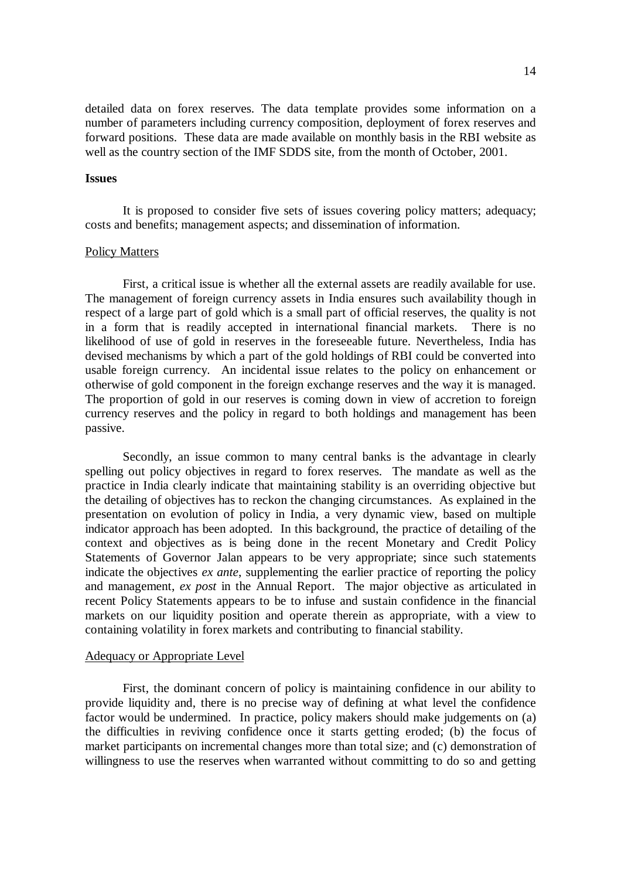detailed data on forex reserves. The data template provides some information on a number of parameters including currency composition, deployment of forex reserves and forward positions. These data are made available on monthly basis in the RBI website as well as the country section of the IMF SDDS site, from the month of October, 2001.

# **Issues**

It is proposed to consider five sets of issues covering policy matters; adequacy; costs and benefits; management aspects; and dissemination of information.

#### Policy Matters

First, a critical issue is whether all the external assets are readily available for use. The management of foreign currency assets in India ensures such availability though in respect of a large part of gold which is a small part of official reserves, the quality is not in a form that is readily accepted in international financial markets. There is no likelihood of use of gold in reserves in the foreseeable future. Nevertheless, India has devised mechanisms by which a part of the gold holdings of RBI could be converted into usable foreign currency. An incidental issue relates to the policy on enhancement or otherwise of gold component in the foreign exchange reserves and the way it is managed. The proportion of gold in our reserves is coming down in view of accretion to foreign currency reserves and the policy in regard to both holdings and management has been passive.

Secondly, an issue common to many central banks is the advantage in clearly spelling out policy objectives in regard to forex reserves. The mandate as well as the practice in India clearly indicate that maintaining stability is an overriding objective but the detailing of objectives has to reckon the changing circumstances. As explained in the presentation on evolution of policy in India, a very dynamic view, based on multiple indicator approach has been adopted. In this background, the practice of detailing of the context and objectives as is being done in the recent Monetary and Credit Policy Statements of Governor Jalan appears to be very appropriate; since such statements indicate the objectives *ex ante*, supplementing the earlier practice of reporting the policy and management, *ex post* in the Annual Report. The major objective as articulated in recent Policy Statements appears to be to infuse and sustain confidence in the financial markets on our liquidity position and operate therein as appropriate, with a view to containing volatility in forex markets and contributing to financial stability.

#### Adequacy or Appropriate Level

First, the dominant concern of policy is maintaining confidence in our ability to provide liquidity and, there is no precise way of defining at what level the confidence factor would be undermined. In practice, policy makers should make judgements on (a) the difficulties in reviving confidence once it starts getting eroded; (b) the focus of market participants on incremental changes more than total size; and (c) demonstration of willingness to use the reserves when warranted without committing to do so and getting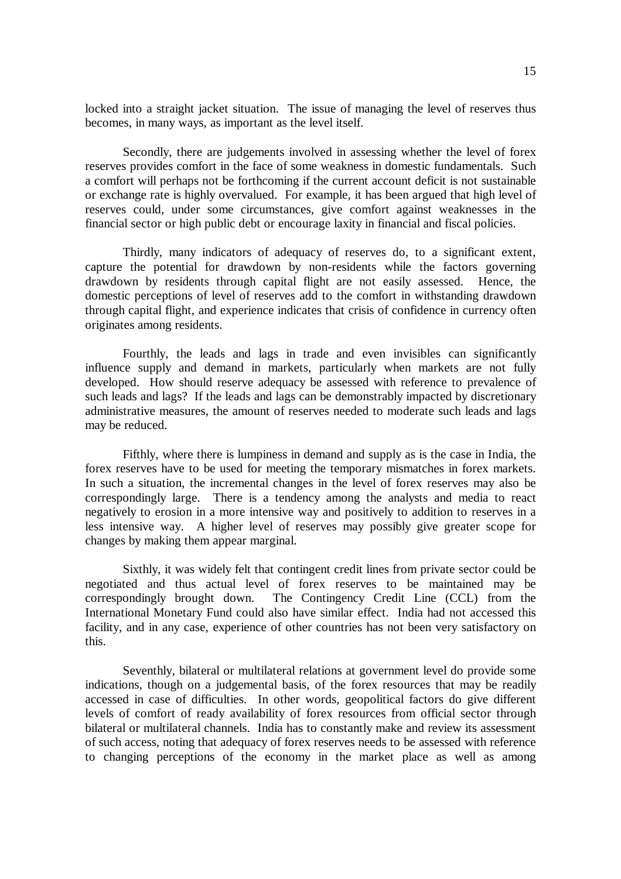locked into a straight jacket situation. The issue of managing the level of reserves thus becomes, in many ways, as important as the level itself.

Secondly, there are judgements involved in assessing whether the level of forex reserves provides comfort in the face of some weakness in domestic fundamentals. Such a comfort will perhaps not be forthcoming if the current account deficit is not sustainable or exchange rate is highly overvalued. For example, it has been argued that high level of reserves could, under some circumstances, give comfort against weaknesses in the financial sector or high public debt or encourage laxity in financial and fiscal policies.

Thirdly, many indicators of adequacy of reserves do, to a significant extent, capture the potential for drawdown by non-residents while the factors governing drawdown by residents through capital flight are not easily assessed. Hence, the domestic perceptions of level of reserves add to the comfort in withstanding drawdown through capital flight, and experience indicates that crisis of confidence in currency often originates among residents.

Fourthly, the leads and lags in trade and even invisibles can significantly influence supply and demand in markets, particularly when markets are not fully developed. How should reserve adequacy be assessed with reference to prevalence of such leads and lags? If the leads and lags can be demonstrably impacted by discretionary administrative measures, the amount of reserves needed to moderate such leads and lags may be reduced.

Fifthly, where there is lumpiness in demand and supply as is the case in India, the forex reserves have to be used for meeting the temporary mismatches in forex markets. In such a situation, the incremental changes in the level of forex reserves may also be correspondingly large. There is a tendency among the analysts and media to react negatively to erosion in a more intensive way and positively to addition to reserves in a less intensive way. A higher level of reserves may possibly give greater scope for changes by making them appear marginal.

Sixthly, it was widely felt that contingent credit lines from private sector could be negotiated and thus actual level of forex reserves to be maintained may be correspondingly brought down. The Contingency Credit Line (CCL) from the International Monetary Fund could also have similar effect. India had not accessed this facility, and in any case, experience of other countries has not been very satisfactory on this.

Seventhly, bilateral or multilateral relations at government level do provide some indications, though on a judgemental basis, of the forex resources that may be readily accessed in case of difficulties. In other words, geopolitical factors do give different levels of comfort of ready availability of forex resources from official sector through bilateral or multilateral channels. India has to constantly make and review its assessment of such access, noting that adequacy of forex reserves needs to be assessed with reference to changing perceptions of the economy in the market place as well as among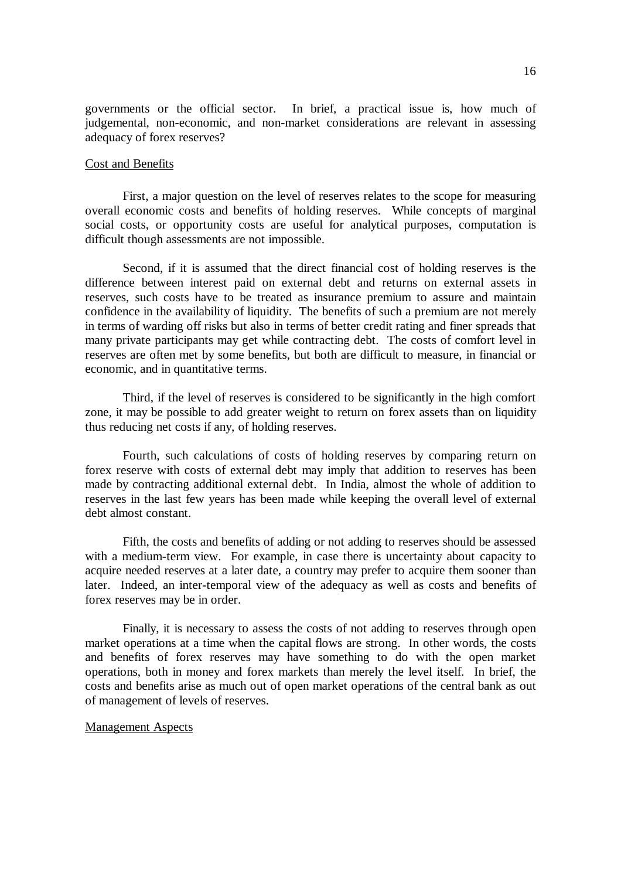governments or the official sector. In brief, a practical issue is, how much of judgemental, non-economic, and non-market considerations are relevant in assessing adequacy of forex reserves?

#### Cost and Benefits

First, a major question on the level of reserves relates to the scope for measuring overall economic costs and benefits of holding reserves. While concepts of marginal social costs, or opportunity costs are useful for analytical purposes, computation is difficult though assessments are not impossible.

Second, if it is assumed that the direct financial cost of holding reserves is the difference between interest paid on external debt and returns on external assets in reserves, such costs have to be treated as insurance premium to assure and maintain confidence in the availability of liquidity. The benefits of such a premium are not merely in terms of warding off risks but also in terms of better credit rating and finer spreads that many private participants may get while contracting debt. The costs of comfort level in reserves are often met by some benefits, but both are difficult to measure, in financial or economic, and in quantitative terms.

Third, if the level of reserves is considered to be significantly in the high comfort zone, it may be possible to add greater weight to return on forex assets than on liquidity thus reducing net costs if any, of holding reserves.

Fourth, such calculations of costs of holding reserves by comparing return on forex reserve with costs of external debt may imply that addition to reserves has been made by contracting additional external debt. In India, almost the whole of addition to reserves in the last few years has been made while keeping the overall level of external debt almost constant.

Fifth, the costs and benefits of adding or not adding to reserves should be assessed with a medium-term view. For example, in case there is uncertainty about capacity to acquire needed reserves at a later date, a country may prefer to acquire them sooner than later. Indeed, an inter-temporal view of the adequacy as well as costs and benefits of forex reserves may be in order.

Finally, it is necessary to assess the costs of not adding to reserves through open market operations at a time when the capital flows are strong. In other words, the costs and benefits of forex reserves may have something to do with the open market operations, both in money and forex markets than merely the level itself. In brief, the costs and benefits arise as much out of open market operations of the central bank as out of management of levels of reserves.

## Management Aspects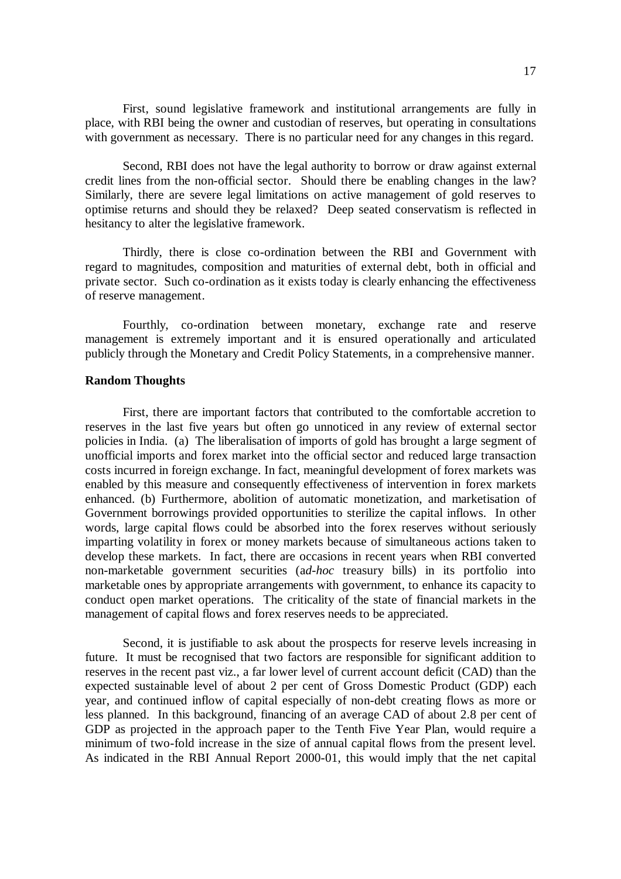First, sound legislative framework and institutional arrangements are fully in place, with RBI being the owner and custodian of reserves, but operating in consultations with government as necessary. There is no particular need for any changes in this regard.

Second, RBI does not have the legal authority to borrow or draw against external credit lines from the non-official sector. Should there be enabling changes in the law? Similarly, there are severe legal limitations on active management of gold reserves to optimise returns and should they be relaxed? Deep seated conservatism is reflected in hesitancy to alter the legislative framework.

Thirdly, there is close co-ordination between the RBI and Government with regard to magnitudes, composition and maturities of external debt, both in official and private sector. Such co-ordination as it exists today is clearly enhancing the effectiveness of reserve management.

Fourthly, co-ordination between monetary, exchange rate and reserve management is extremely important and it is ensured operationally and articulated publicly through the Monetary and Credit Policy Statements, in a comprehensive manner.

# **Random Thoughts**

First, there are important factors that contributed to the comfortable accretion to reserves in the last five years but often go unnoticed in any review of external sector policies in India. (a) The liberalisation of imports of gold has brought a large segment of unofficial imports and forex market into the official sector and reduced large transaction costs incurred in foreign exchange. In fact, meaningful development of forex markets was enabled by this measure and consequently effectiveness of intervention in forex markets enhanced. (b) Furthermore, abolition of automatic monetization, and marketisation of Government borrowings provided opportunities to sterilize the capital inflows. In other words, large capital flows could be absorbed into the forex reserves without seriously imparting volatility in forex or money markets because of simultaneous actions taken to develop these markets. In fact, there are occasions in recent years when RBI converted non-marketable government securities (a*d-hoc* treasury bills) in its portfolio into marketable ones by appropriate arrangements with government, to enhance its capacity to conduct open market operations. The criticality of the state of financial markets in the management of capital flows and forex reserves needs to be appreciated.

Second, it is justifiable to ask about the prospects for reserve levels increasing in future. It must be recognised that two factors are responsible for significant addition to reserves in the recent past viz., a far lower level of current account deficit (CAD) than the expected sustainable level of about 2 per cent of Gross Domestic Product (GDP) each year, and continued inflow of capital especially of non-debt creating flows as more or less planned. In this background, financing of an average CAD of about 2.8 per cent of GDP as projected in the approach paper to the Tenth Five Year Plan, would require a minimum of two-fold increase in the size of annual capital flows from the present level. As indicated in the RBI Annual Report 2000-01, this would imply that the net capital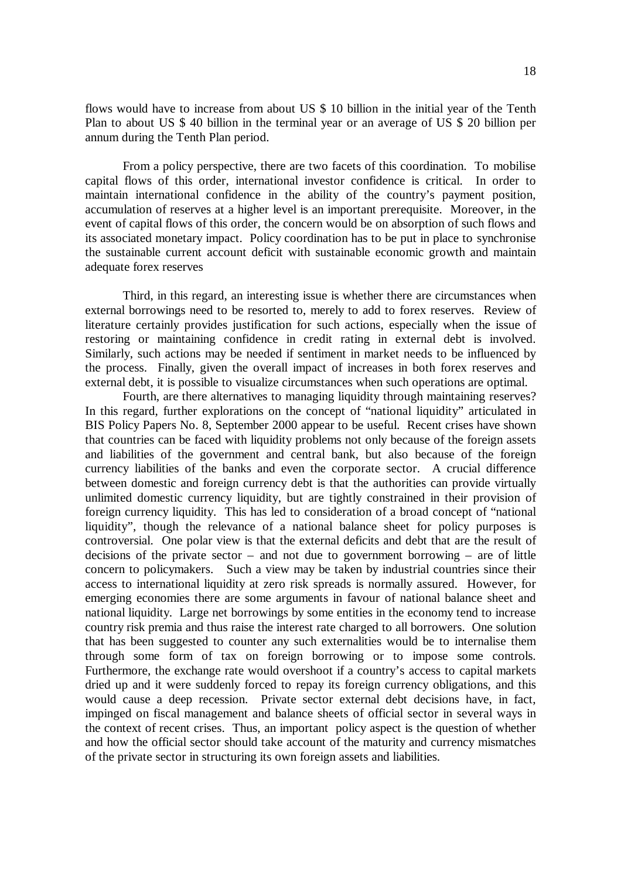flows would have to increase from about US \$ 10 billion in the initial year of the Tenth Plan to about US \$ 40 billion in the terminal year or an average of US \$ 20 billion per annum during the Tenth Plan period.

From a policy perspective, there are two facets of this coordination. To mobilise capital flows of this order, international investor confidence is critical. In order to maintain international confidence in the ability of the country's payment position, accumulation of reserves at a higher level is an important prerequisite. Moreover, in the event of capital flows of this order, the concern would be on absorption of such flows and its associated monetary impact. Policy coordination has to be put in place to synchronise the sustainable current account deficit with sustainable economic growth and maintain adequate forex reserves

Third, in this regard, an interesting issue is whether there are circumstances when external borrowings need to be resorted to, merely to add to forex reserves. Review of literature certainly provides justification for such actions, especially when the issue of restoring or maintaining confidence in credit rating in external debt is involved. Similarly, such actions may be needed if sentiment in market needs to be influenced by the process. Finally, given the overall impact of increases in both forex reserves and external debt, it is possible to visualize circumstances when such operations are optimal.

Fourth, are there alternatives to managing liquidity through maintaining reserves? In this regard, further explorations on the concept of "national liquidity" articulated in BIS Policy Papers No. 8, September 2000 appear to be useful. Recent crises have shown that countries can be faced with liquidity problems not only because of the foreign assets and liabilities of the government and central bank, but also because of the foreign currency liabilities of the banks and even the corporate sector. A crucial difference between domestic and foreign currency debt is that the authorities can provide virtually unlimited domestic currency liquidity, but are tightly constrained in their provision of foreign currency liquidity. This has led to consideration of a broad concept of "national liquidity", though the relevance of a national balance sheet for policy purposes is controversial. One polar view is that the external deficits and debt that are the result of decisions of the private sector – and not due to government borrowing – are of little concern to policymakers. Such a view may be taken by industrial countries since their access to international liquidity at zero risk spreads is normally assured. However, for emerging economies there are some arguments in favour of national balance sheet and national liquidity. Large net borrowings by some entities in the economy tend to increase country risk premia and thus raise the interest rate charged to all borrowers. One solution that has been suggested to counter any such externalities would be to internalise them through some form of tax on foreign borrowing or to impose some controls. Furthermore, the exchange rate would overshoot if a country's access to capital markets dried up and it were suddenly forced to repay its foreign currency obligations, and this would cause a deep recession. Private sector external debt decisions have, in fact, impinged on fiscal management and balance sheets of official sector in several ways in the context of recent crises. Thus, an important policy aspect is the question of whether and how the official sector should take account of the maturity and currency mismatches of the private sector in structuring its own foreign assets and liabilities.